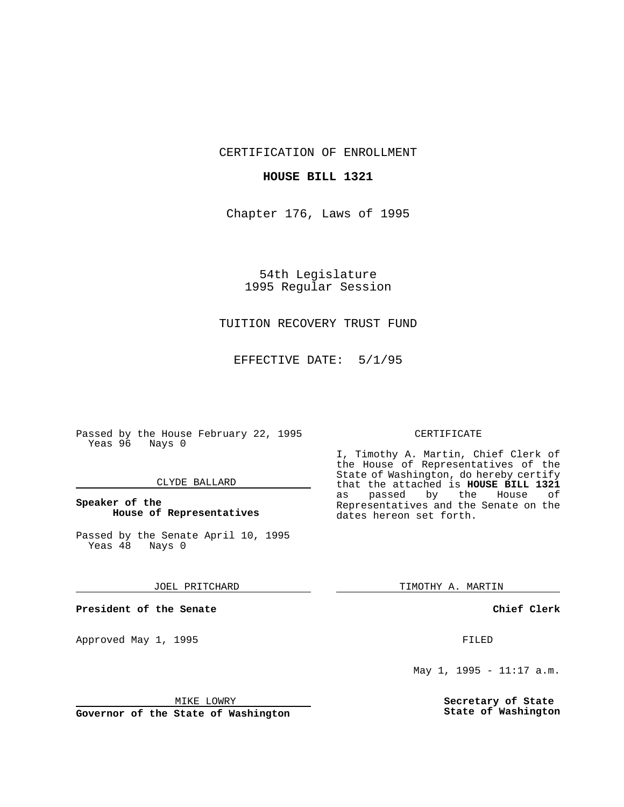CERTIFICATION OF ENROLLMENT

## **HOUSE BILL 1321**

Chapter 176, Laws of 1995

54th Legislature 1995 Regular Session

# TUITION RECOVERY TRUST FUND

EFFECTIVE DATE: 5/1/95

Passed by the House February 22, 1995 Yeas 96 Nays 0

## CLYDE BALLARD

## **Speaker of the House of Representatives**

Passed by the Senate April 10, 1995<br>Yeas 48 Nays 0 Yeas 48

#### JOEL PRITCHARD

**President of the Senate**

Approved May 1, 1995 **FILED** 

#### MIKE LOWRY

**Governor of the State of Washington**

#### CERTIFICATE

I, Timothy A. Martin, Chief Clerk of the House of Representatives of the State of Washington, do hereby certify that the attached is **HOUSE BILL 1321** as passed by the Representatives and the Senate on the dates hereon set forth.

TIMOTHY A. MARTIN

## **Chief Clerk**

May 1, 1995 - 11:17 a.m.

**Secretary of State State of Washington**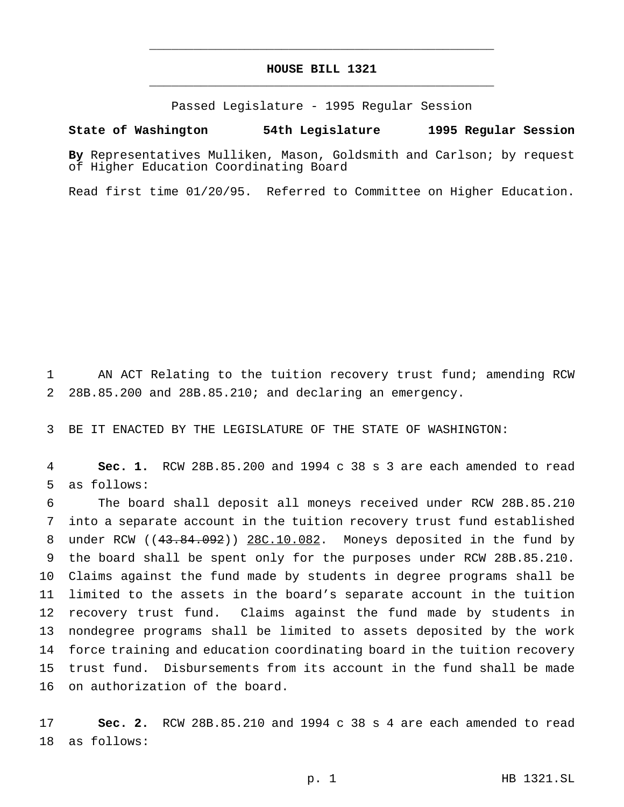# **HOUSE BILL 1321** \_\_\_\_\_\_\_\_\_\_\_\_\_\_\_\_\_\_\_\_\_\_\_\_\_\_\_\_\_\_\_\_\_\_\_\_\_\_\_\_\_\_\_\_\_\_\_

\_\_\_\_\_\_\_\_\_\_\_\_\_\_\_\_\_\_\_\_\_\_\_\_\_\_\_\_\_\_\_\_\_\_\_\_\_\_\_\_\_\_\_\_\_\_\_

Passed Legislature - 1995 Regular Session

#### **State of Washington 54th Legislature 1995 Regular Session**

**By** Representatives Mulliken, Mason, Goldsmith and Carlson; by request of Higher Education Coordinating Board

Read first time 01/20/95. Referred to Committee on Higher Education.

 AN ACT Relating to the tuition recovery trust fund; amending RCW 28B.85.200 and 28B.85.210; and declaring an emergency.

BE IT ENACTED BY THE LEGISLATURE OF THE STATE OF WASHINGTON:

 **Sec. 1.** RCW 28B.85.200 and 1994 c 38 s 3 are each amended to read as follows:

 The board shall deposit all moneys received under RCW 28B.85.210 into a separate account in the tuition recovery trust fund established 8 under RCW ((43.84.092)) 28C.10.082. Moneys deposited in the fund by the board shall be spent only for the purposes under RCW 28B.85.210. Claims against the fund made by students in degree programs shall be limited to the assets in the board's separate account in the tuition recovery trust fund. Claims against the fund made by students in nondegree programs shall be limited to assets deposited by the work force training and education coordinating board in the tuition recovery trust fund. Disbursements from its account in the fund shall be made on authorization of the board.

 **Sec. 2.** RCW 28B.85.210 and 1994 c 38 s 4 are each amended to read as follows: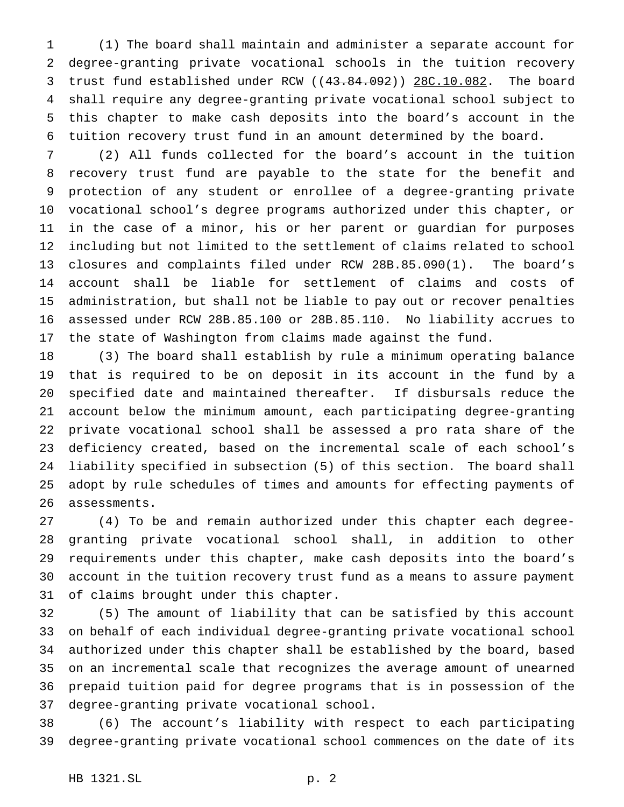(1) The board shall maintain and administer a separate account for degree-granting private vocational schools in the tuition recovery 3 trust fund established under RCW ((43.84.092)) 28C.10.082. The board shall require any degree-granting private vocational school subject to this chapter to make cash deposits into the board's account in the tuition recovery trust fund in an amount determined by the board.

 (2) All funds collected for the board's account in the tuition recovery trust fund are payable to the state for the benefit and protection of any student or enrollee of a degree-granting private vocational school's degree programs authorized under this chapter, or in the case of a minor, his or her parent or guardian for purposes including but not limited to the settlement of claims related to school closures and complaints filed under RCW 28B.85.090(1). The board's account shall be liable for settlement of claims and costs of administration, but shall not be liable to pay out or recover penalties assessed under RCW 28B.85.100 or 28B.85.110. No liability accrues to the state of Washington from claims made against the fund.

 (3) The board shall establish by rule a minimum operating balance that is required to be on deposit in its account in the fund by a specified date and maintained thereafter. If disbursals reduce the account below the minimum amount, each participating degree-granting private vocational school shall be assessed a pro rata share of the deficiency created, based on the incremental scale of each school's liability specified in subsection (5) of this section. The board shall adopt by rule schedules of times and amounts for effecting payments of assessments.

 (4) To be and remain authorized under this chapter each degree- granting private vocational school shall, in addition to other requirements under this chapter, make cash deposits into the board's account in the tuition recovery trust fund as a means to assure payment of claims brought under this chapter.

 (5) The amount of liability that can be satisfied by this account on behalf of each individual degree-granting private vocational school authorized under this chapter shall be established by the board, based on an incremental scale that recognizes the average amount of unearned prepaid tuition paid for degree programs that is in possession of the degree-granting private vocational school.

 (6) The account's liability with respect to each participating degree-granting private vocational school commences on the date of its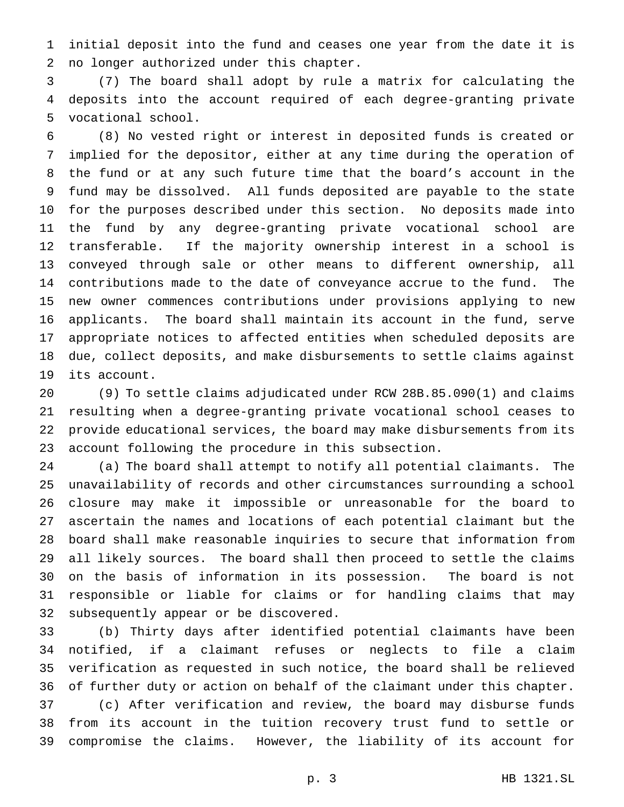initial deposit into the fund and ceases one year from the date it is no longer authorized under this chapter.

 (7) The board shall adopt by rule a matrix for calculating the deposits into the account required of each degree-granting private vocational school.

 (8) No vested right or interest in deposited funds is created or implied for the depositor, either at any time during the operation of the fund or at any such future time that the board's account in the fund may be dissolved. All funds deposited are payable to the state for the purposes described under this section. No deposits made into the fund by any degree-granting private vocational school are transferable. If the majority ownership interest in a school is conveyed through sale or other means to different ownership, all contributions made to the date of conveyance accrue to the fund. The new owner commences contributions under provisions applying to new applicants. The board shall maintain its account in the fund, serve appropriate notices to affected entities when scheduled deposits are due, collect deposits, and make disbursements to settle claims against its account.

 (9) To settle claims adjudicated under RCW 28B.85.090(1) and claims resulting when a degree-granting private vocational school ceases to provide educational services, the board may make disbursements from its account following the procedure in this subsection.

 (a) The board shall attempt to notify all potential claimants. The unavailability of records and other circumstances surrounding a school closure may make it impossible or unreasonable for the board to ascertain the names and locations of each potential claimant but the board shall make reasonable inquiries to secure that information from all likely sources. The board shall then proceed to settle the claims on the basis of information in its possession. The board is not responsible or liable for claims or for handling claims that may subsequently appear or be discovered.

 (b) Thirty days after identified potential claimants have been notified, if a claimant refuses or neglects to file a claim verification as requested in such notice, the board shall be relieved of further duty or action on behalf of the claimant under this chapter. (c) After verification and review, the board may disburse funds from its account in the tuition recovery trust fund to settle or compromise the claims. However, the liability of its account for